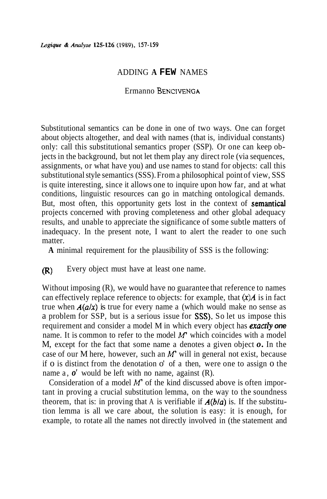## ADDING **A FEW** NAMES

# Ermanno **BENCWENCA**

Substitutional semantics can be done in one of two ways. One can forget about objects altogether, and deal with names (that is, individual constants) only: call this substitutional semantics proper (SSP). Or one can keep objects in the background, but not let them play any direct role (via sequences, assignments, or what have you) and use names to stand for objects: call this substitutional style semantics (SSS). From a philosophical point of view, SSS is quite interesting, since it allows one to inquire upon how far, and at what conditions, linguistic resources can go in matching ontological demands. But, most often, this opportunity gets lost in the context of semantical projects concerned with proving completeness and other global adequacy results, and unable to appreciate the significance of some subtle matters of inadequacy. In the present note, I want to alert the reader to one such matter.

**A** minimal requirement for the plausibility of SSS is the following:

### ) Every object must have at least one name.

Without imposing (R), we would have no guarantee that reference to names can effectively replace reference to objects: for example, that *(x)A* is in fact true when  $A(a/x)$  is true for every name a (which would make no sense as a problem for SSP, but is a serious issue for SSS). So let us impose this requirement and consider a model M in which every object has exacrly **one**  name. It is common to refer to the model **M'** which coincides with a model M, except for the fact that some name a denotes a given object *o.* In the case of our M here, however, such an **M'** will in general not exist, because if o is distinct from the denotation o' of a then, were one to assign o the name a,  $o'$  would be left with no name, against (R).

Consideration of a model *M'* of the kind discussed above is often important in proving a crucial substitution lemma, on the way to the soundness theorem, that is: in proving that A is verifiable if  $A(b/a)$  is. If the substitution lemma is all we care about, the solution is easy: it is enough, for example, to rotate all the names not directly involved in (the statement and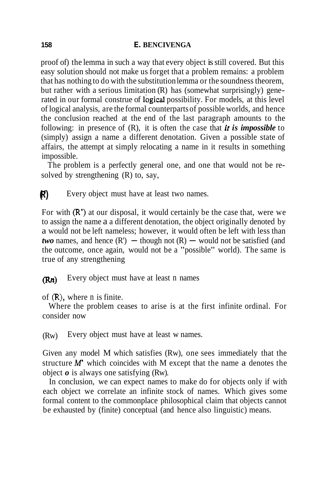#### **158 E. BENCIVENGA**

proof of) the lemma in such a way that every object is still covered. But this easy solution should not make us forget that a problem remains: a problem that has nothing to do with the substitution lemma or the soundness theorem, but rather with a serious limitation (R) has (somewhat surprisingly) generated in our formal construe of logical possibility. For models, at this level of logical analysis, are the formal counterparts of possible worlds, and hence the conclusion reached at the end of the last paragraph amounts to the following: in presence of (R), it is often the case that *it is impossible* to (simply) assign a name a different denotation. Given a possible state of affairs, the attempt at simply relocating a name in it results in something impossible.

The problem is a perfectly general one, and one that would not be resolved by strengthening (R) to, say,

**(R')** Every object must have at least two names.

For with (R') at our disposal, it would certainly be the case that, were we to assign the name a a different denotation, the object originally denoted by a would not be left nameless; however, it would often be left with less than *two* names, and hence  $(R')$  – though not  $(R)$  – would not be satisfied (and the outcome, once again, would not be a "possible" world). The same is true of any strengthening

### **(Rn)** Every object must have at least n names

of (R), where n is finite.

Where the problem ceases to arise is at the first infinite ordinal. For consider now

(Rw) Every object must have at least w names.

Given any model M which satisfies (Rw), one sees immediately that the structure  $M'$  which coincides with M except that the name a denotes the object *o* is always one satisfying (Rw).

In conclusion, we can expect names to make do for objects only if with each object we correlate an infinite stock of names. Which gives some formal content to the commonplace philosophical claim that objects cannot be exhausted by (finite) conceptual (and hence also linguistic) means.